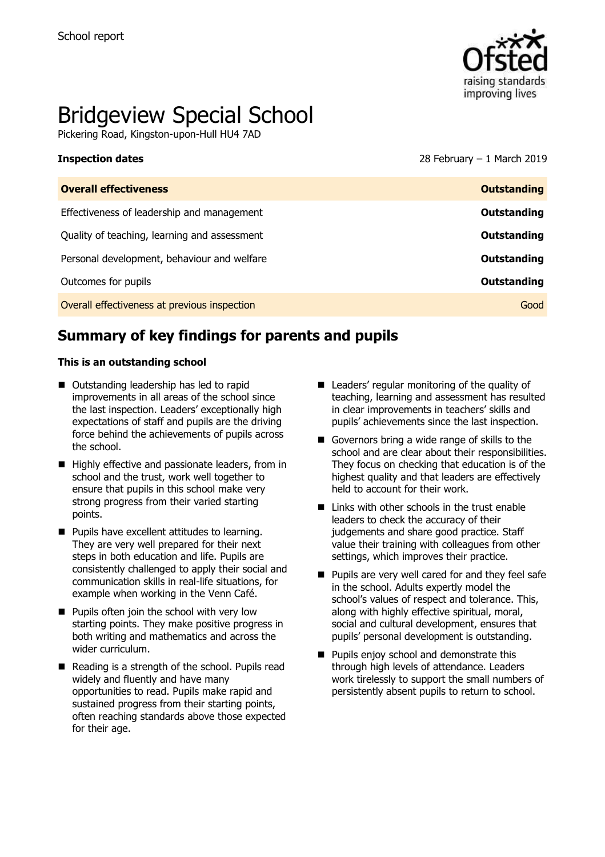

# Bridgeview Special School

Pickering Road, Kingston-upon-Hull HU4 7AD

### **Inspection dates** 28 February – 1 March 2019

| <b>Overall effectiveness</b>                 | <b>Outstanding</b> |
|----------------------------------------------|--------------------|
| Effectiveness of leadership and management   | Outstanding        |
| Quality of teaching, learning and assessment | Outstanding        |
| Personal development, behaviour and welfare  | Outstanding        |
| Outcomes for pupils                          | Outstanding        |
| Overall effectiveness at previous inspection | Good               |

## **Summary of key findings for parents and pupils**

### **This is an outstanding school**

- Outstanding leadership has led to rapid improvements in all areas of the school since the last inspection. Leaders' exceptionally high expectations of staff and pupils are the driving force behind the achievements of pupils across the school.
- Highly effective and passionate leaders, from in school and the trust, work well together to ensure that pupils in this school make very strong progress from their varied starting points.
- **Pupils have excellent attitudes to learning.** They are very well prepared for their next steps in both education and life. Pupils are consistently challenged to apply their social and communication skills in real-life situations, for example when working in the Venn Café.
- **Pupils often join the school with very low** starting points. They make positive progress in both writing and mathematics and across the wider curriculum.
- Reading is a strength of the school. Pupils read widely and fluently and have many opportunities to read. Pupils make rapid and sustained progress from their starting points, often reaching standards above those expected for their age.
- Leaders' regular monitoring of the quality of teaching, learning and assessment has resulted in clear improvements in teachers' skills and pupils' achievements since the last inspection.
- Governors bring a wide range of skills to the school and are clear about their responsibilities. They focus on checking that education is of the highest quality and that leaders are effectively held to account for their work.
- $\blacksquare$  Links with other schools in the trust enable leaders to check the accuracy of their judgements and share good practice. Staff value their training with colleagues from other settings, which improves their practice.
- **Pupils are very well cared for and they feel safe** in the school. Adults expertly model the school's values of respect and tolerance. This, along with highly effective spiritual, moral, social and cultural development, ensures that pupils' personal development is outstanding.
- **Pupils enjoy school and demonstrate this** through high levels of attendance. Leaders work tirelessly to support the small numbers of persistently absent pupils to return to school.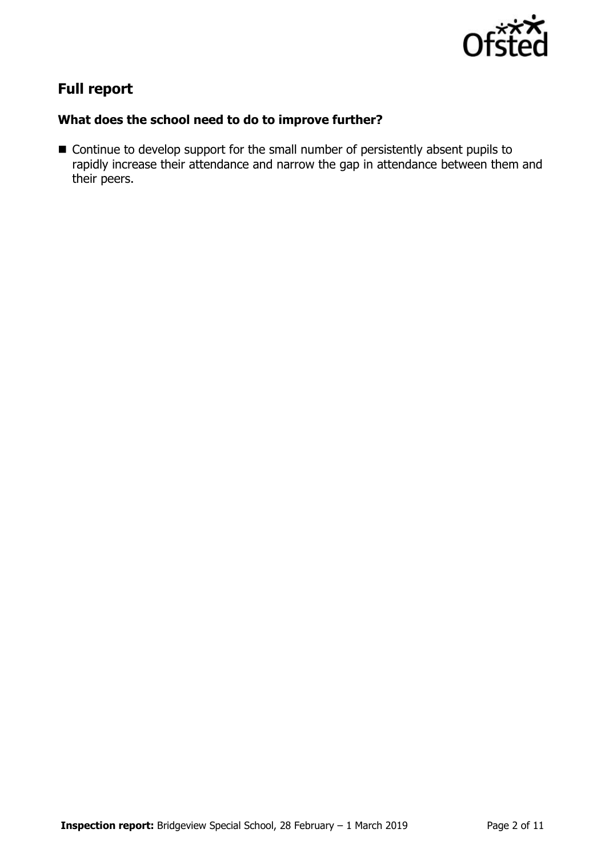

# **Full report**

### **What does the school need to do to improve further?**

■ Continue to develop support for the small number of persistently absent pupils to rapidly increase their attendance and narrow the gap in attendance between them and their peers.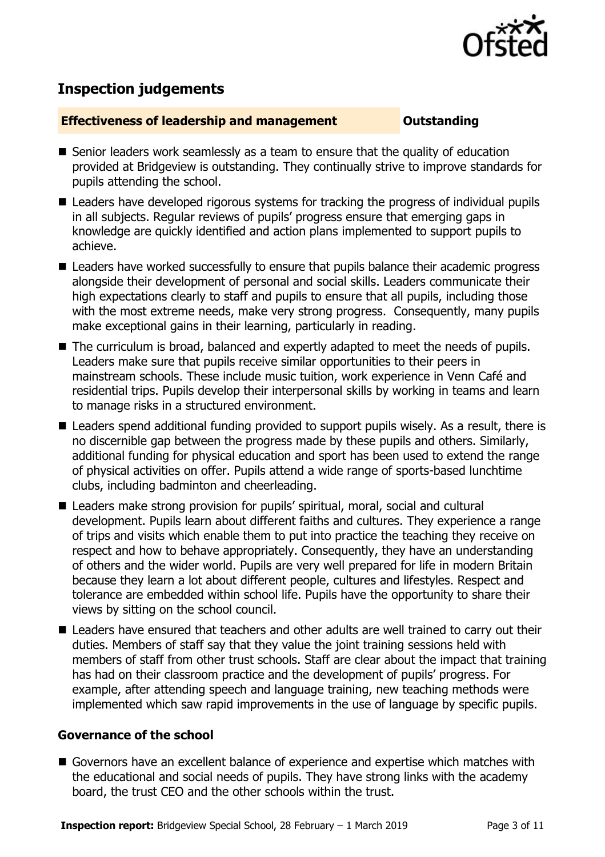

# **Inspection judgements**

### **Effectiveness of leadership and management Constanding**

- Senior leaders work seamlessly as a team to ensure that the quality of education provided at Bridgeview is outstanding. They continually strive to improve standards for pupils attending the school.
- Leaders have developed rigorous systems for tracking the progress of individual pupils in all subjects. Regular reviews of pupils' progress ensure that emerging gaps in knowledge are quickly identified and action plans implemented to support pupils to achieve.
- Leaders have worked successfully to ensure that pupils balance their academic progress alongside their development of personal and social skills. Leaders communicate their high expectations clearly to staff and pupils to ensure that all pupils, including those with the most extreme needs, make very strong progress. Consequently, many pupils make exceptional gains in their learning, particularly in reading.
- The curriculum is broad, balanced and expertly adapted to meet the needs of pupils. Leaders make sure that pupils receive similar opportunities to their peers in mainstream schools. These include music tuition, work experience in Venn Café and residential trips. Pupils develop their interpersonal skills by working in teams and learn to manage risks in a structured environment.
- Leaders spend additional funding provided to support pupils wisely. As a result, there is no discernible gap between the progress made by these pupils and others. Similarly, additional funding for physical education and sport has been used to extend the range of physical activities on offer. Pupils attend a wide range of sports-based lunchtime clubs, including badminton and cheerleading.
- Leaders make strong provision for pupils' spiritual, moral, social and cultural development. Pupils learn about different faiths and cultures. They experience a range of trips and visits which enable them to put into practice the teaching they receive on respect and how to behave appropriately. Consequently, they have an understanding of others and the wider world. Pupils are very well prepared for life in modern Britain because they learn a lot about different people, cultures and lifestyles. Respect and tolerance are embedded within school life. Pupils have the opportunity to share their views by sitting on the school council.
- Leaders have ensured that teachers and other adults are well trained to carry out their duties. Members of staff say that they value the joint training sessions held with members of staff from other trust schools. Staff are clear about the impact that training has had on their classroom practice and the development of pupils' progress. For example, after attending speech and language training, new teaching methods were implemented which saw rapid improvements in the use of language by specific pupils.

### **Governance of the school**

Governors have an excellent balance of experience and expertise which matches with the educational and social needs of pupils. They have strong links with the academy board, the trust CEO and the other schools within the trust.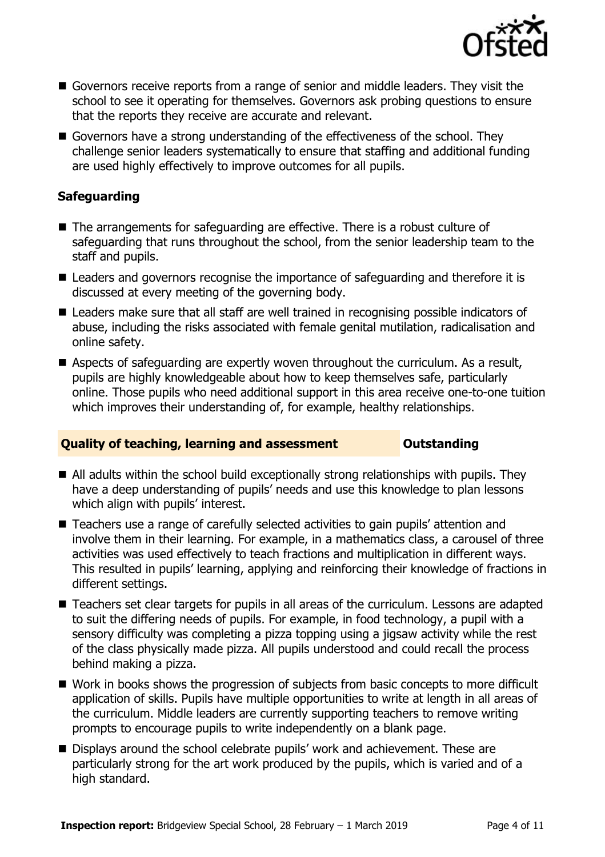

- Governors receive reports from a range of senior and middle leaders. They visit the school to see it operating for themselves. Governors ask probing questions to ensure that the reports they receive are accurate and relevant.
- Governors have a strong understanding of the effectiveness of the school. They challenge senior leaders systematically to ensure that staffing and additional funding are used highly effectively to improve outcomes for all pupils.

### **Safeguarding**

- The arrangements for safeguarding are effective. There is a robust culture of safeguarding that runs throughout the school, from the senior leadership team to the staff and pupils.
- Leaders and governors recognise the importance of safeguarding and therefore it is discussed at every meeting of the governing body.
- Leaders make sure that all staff are well trained in recognising possible indicators of abuse, including the risks associated with female genital mutilation, radicalisation and online safety.
- Aspects of safeguarding are expertly woven throughout the curriculum. As a result, pupils are highly knowledgeable about how to keep themselves safe, particularly online. Those pupils who need additional support in this area receive one-to-one tuition which improves their understanding of, for example, healthy relationships.

### **Quality of teaching, learning and assessment <b>Caucalian** Outstanding

- All adults within the school build exceptionally strong relationships with pupils. They have a deep understanding of pupils' needs and use this knowledge to plan lessons which align with pupils' interest.
- Teachers use a range of carefully selected activities to gain pupils' attention and involve them in their learning. For example, in a mathematics class, a carousel of three activities was used effectively to teach fractions and multiplication in different ways. This resulted in pupils' learning, applying and reinforcing their knowledge of fractions in different settings.
- Teachers set clear targets for pupils in all areas of the curriculum. Lessons are adapted to suit the differing needs of pupils. For example, in food technology, a pupil with a sensory difficulty was completing a pizza topping using a jigsaw activity while the rest of the class physically made pizza. All pupils understood and could recall the process behind making a pizza.
- Work in books shows the progression of subjects from basic concepts to more difficult application of skills. Pupils have multiple opportunities to write at length in all areas of the curriculum. Middle leaders are currently supporting teachers to remove writing prompts to encourage pupils to write independently on a blank page.
- Displays around the school celebrate pupils' work and achievement. These are particularly strong for the art work produced by the pupils, which is varied and of a high standard.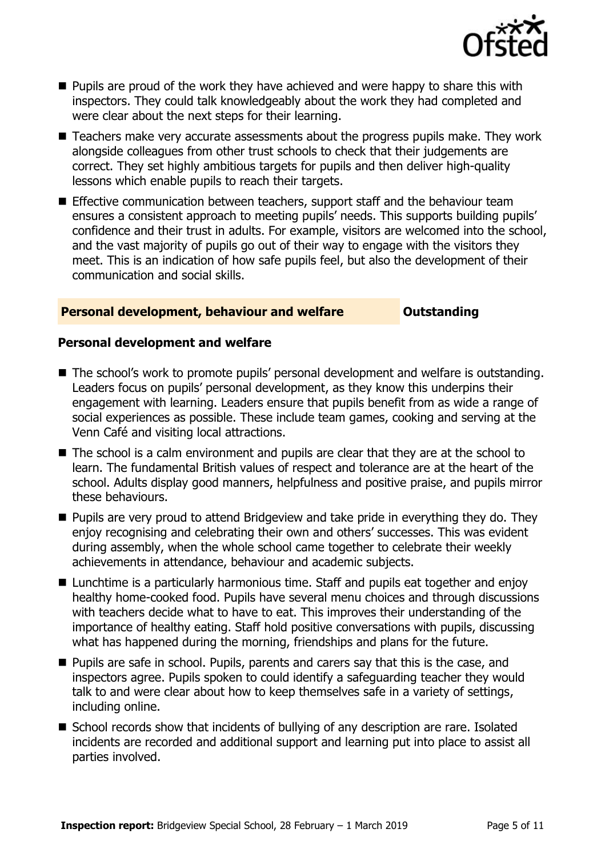

- **Pupils are proud of the work they have achieved and were happy to share this with** inspectors. They could talk knowledgeably about the work they had completed and were clear about the next steps for their learning.
- Teachers make very accurate assessments about the progress pupils make. They work alongside colleagues from other trust schools to check that their judgements are correct. They set highly ambitious targets for pupils and then deliver high-quality lessons which enable pupils to reach their targets.
- **Effective communication between teachers, support staff and the behaviour team** ensures a consistent approach to meeting pupils' needs. This supports building pupils' confidence and their trust in adults. For example, visitors are welcomed into the school, and the vast majority of pupils go out of their way to engage with the visitors they meet. This is an indication of how safe pupils feel, but also the development of their communication and social skills.

### **Personal development, behaviour and welfare <b>COUNG COULDER** Outstanding

### **Personal development and welfare**

- The school's work to promote pupils' personal development and welfare is outstanding. Leaders focus on pupils' personal development, as they know this underpins their engagement with learning. Leaders ensure that pupils benefit from as wide a range of social experiences as possible. These include team games, cooking and serving at the Venn Café and visiting local attractions.
- The school is a calm environment and pupils are clear that they are at the school to learn. The fundamental British values of respect and tolerance are at the heart of the school. Adults display good manners, helpfulness and positive praise, and pupils mirror these behaviours.
- **Pupils are very proud to attend Bridgeview and take pride in everything they do. They** enjoy recognising and celebrating their own and others' successes. This was evident during assembly, when the whole school came together to celebrate their weekly achievements in attendance, behaviour and academic subjects.
- Lunchtime is a particularly harmonious time. Staff and pupils eat together and enjoy healthy home-cooked food. Pupils have several menu choices and through discussions with teachers decide what to have to eat. This improves their understanding of the importance of healthy eating. Staff hold positive conversations with pupils, discussing what has happened during the morning, friendships and plans for the future.
- **Pupils are safe in school. Pupils, parents and carers say that this is the case, and** inspectors agree. Pupils spoken to could identify a safeguarding teacher they would talk to and were clear about how to keep themselves safe in a variety of settings, including online.
- School records show that incidents of bullying of any description are rare. Isolated incidents are recorded and additional support and learning put into place to assist all parties involved.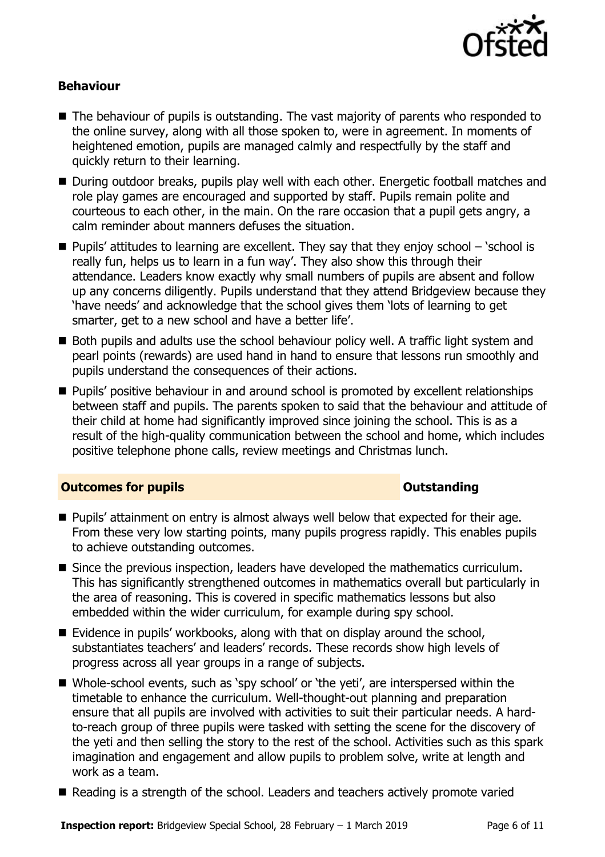

### **Behaviour**

- The behaviour of pupils is outstanding. The vast majority of parents who responded to the online survey, along with all those spoken to, were in agreement. In moments of heightened emotion, pupils are managed calmly and respectfully by the staff and quickly return to their learning.
- During outdoor breaks, pupils play well with each other. Energetic football matches and role play games are encouraged and supported by staff. Pupils remain polite and courteous to each other, in the main. On the rare occasion that a pupil gets angry, a calm reminder about manners defuses the situation.
- **Pupils' attitudes to learning are excellent. They say that they enjoy school 'school is** really fun, helps us to learn in a fun way'. They also show this through their attendance. Leaders know exactly why small numbers of pupils are absent and follow up any concerns diligently. Pupils understand that they attend Bridgeview because they 'have needs' and acknowledge that the school gives them 'lots of learning to get smarter, get to a new school and have a better life'.
- Both pupils and adults use the school behaviour policy well. A traffic light system and pearl points (rewards) are used hand in hand to ensure that lessons run smoothly and pupils understand the consequences of their actions.
- **Pupils'** positive behaviour in and around school is promoted by excellent relationships between staff and pupils. The parents spoken to said that the behaviour and attitude of their child at home had significantly improved since joining the school. This is as a result of the high-quality communication between the school and home, which includes positive telephone phone calls, review meetings and Christmas lunch.

### **Outcomes for pupils Outstanding**

- **Pupils' attainment on entry is almost always well below that expected for their age.** From these very low starting points, many pupils progress rapidly. This enables pupils to achieve outstanding outcomes.
- Since the previous inspection, leaders have developed the mathematics curriculum. This has significantly strengthened outcomes in mathematics overall but particularly in the area of reasoning. This is covered in specific mathematics lessons but also embedded within the wider curriculum, for example during spy school.
- Evidence in pupils' workbooks, along with that on display around the school, substantiates teachers' and leaders' records. These records show high levels of progress across all year groups in a range of subjects.
- Whole-school events, such as 'spy school' or 'the yeti', are interspersed within the timetable to enhance the curriculum. Well-thought-out planning and preparation ensure that all pupils are involved with activities to suit their particular needs. A hardto-reach group of three pupils were tasked with setting the scene for the discovery of the yeti and then selling the story to the rest of the school. Activities such as this spark imagination and engagement and allow pupils to problem solve, write at length and work as a team.
- Reading is a strength of the school. Leaders and teachers actively promote varied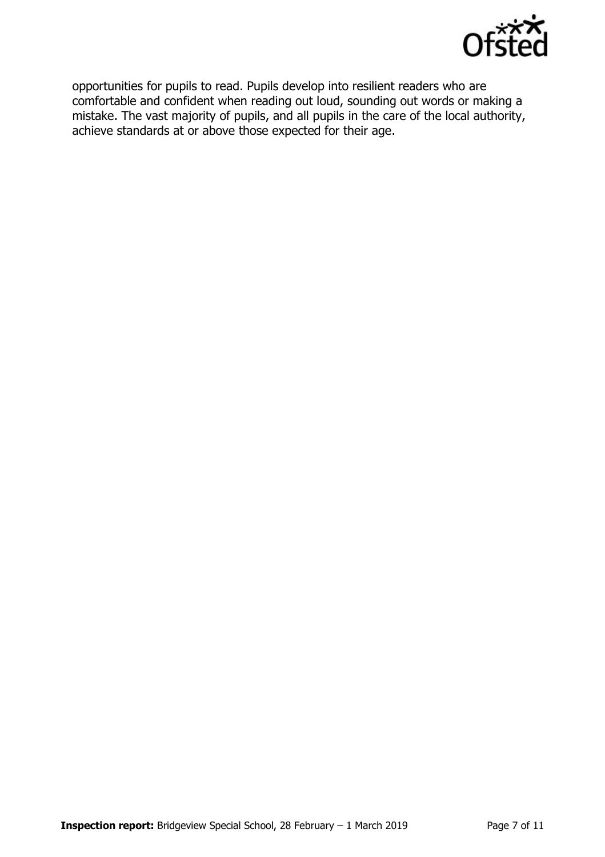

opportunities for pupils to read. Pupils develop into resilient readers who are comfortable and confident when reading out loud, sounding out words or making a mistake. The vast majority of pupils, and all pupils in the care of the local authority, achieve standards at or above those expected for their age.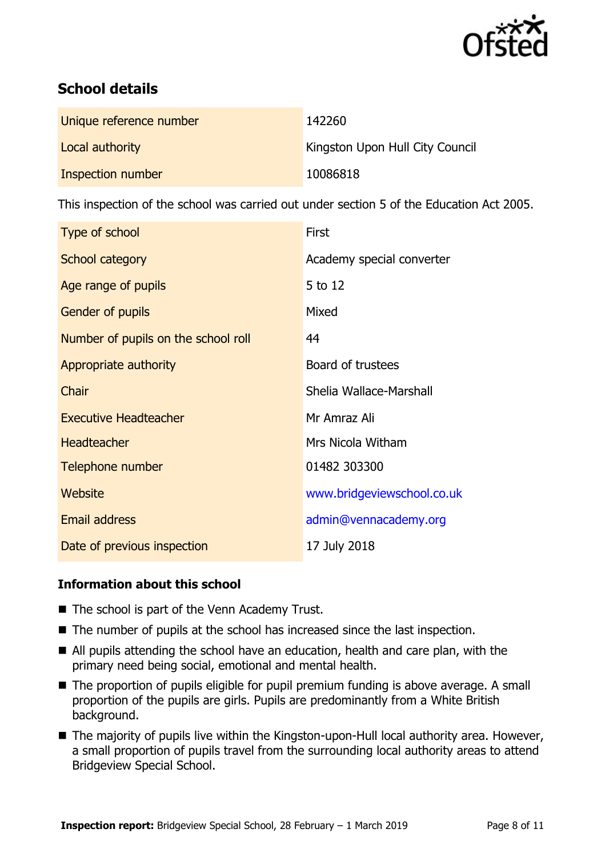

# **School details**

| Unique reference number | 142260                                 |
|-------------------------|----------------------------------------|
| Local authority         | <b>Kingston Upon Hull City Council</b> |
| Inspection number       | 10086818                               |

This inspection of the school was carried out under section 5 of the Education Act 2005.

| Type of school                      | First                      |
|-------------------------------------|----------------------------|
| School category                     | Academy special converter  |
| Age range of pupils                 | 5 to 12                    |
| Gender of pupils                    | Mixed                      |
| Number of pupils on the school roll | 44                         |
| Appropriate authority               | Board of trustees          |
| Chair                               | Shelia Wallace-Marshall    |
| <b>Executive Headteacher</b>        | Mr Amraz Ali               |
| <b>Headteacher</b>                  | Mrs Nicola Witham          |
| Telephone number                    | 01482 303300               |
| Website                             | www.bridgeviewschool.co.uk |
| <b>Email address</b>                | admin@vennacademy.org      |
| Date of previous inspection         | 17 July 2018               |

### **Information about this school**

- The school is part of the Venn Academy Trust.
- The number of pupils at the school has increased since the last inspection.
- All pupils attending the school have an education, health and care plan, with the primary need being social, emotional and mental health.
- The proportion of pupils eligible for pupil premium funding is above average. A small proportion of the pupils are girls. Pupils are predominantly from a White British background.
- The majority of pupils live within the Kingston-upon-Hull local authority area. However, a small proportion of pupils travel from the surrounding local authority areas to attend Bridgeview Special School.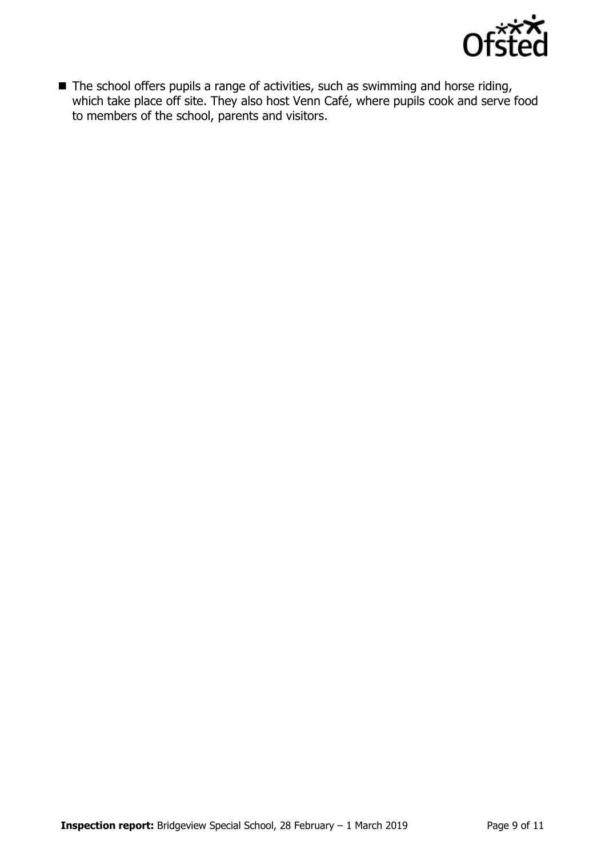

■ The school offers pupils a range of activities, such as swimming and horse riding, which take place off site. They also host Venn Café, where pupils cook and serve food to members of the school, parents and visitors.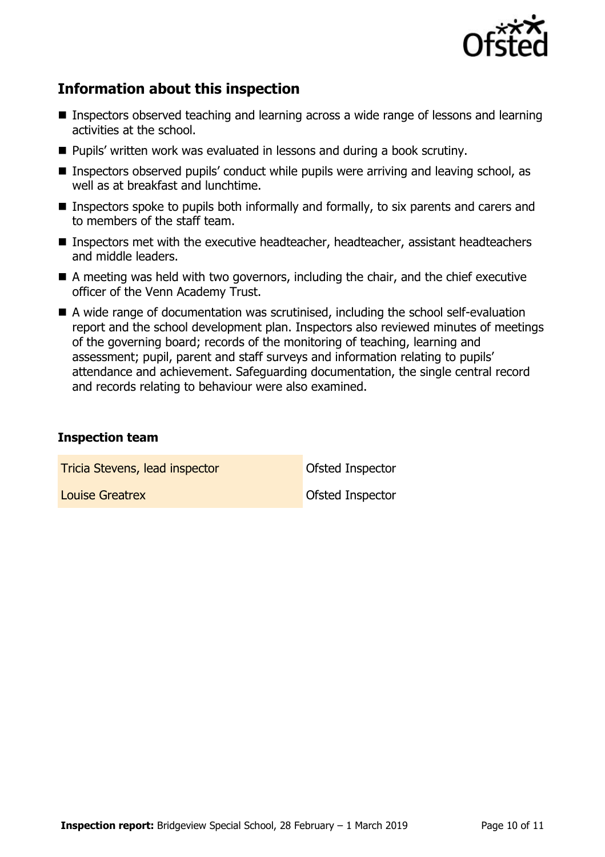

# **Information about this inspection**

- Inspectors observed teaching and learning across a wide range of lessons and learning activities at the school.
- **Pupils' written work was evaluated in lessons and during a book scrutiny.**
- Inspectors observed pupils' conduct while pupils were arriving and leaving school, as well as at breakfast and lunchtime.
- **Inspectors spoke to pupils both informally and formally, to six parents and carers and**  $\blacksquare$ to members of the staff team.
- Inspectors met with the executive headteacher, headteacher, assistant headteachers and middle leaders.
- A meeting was held with two governors, including the chair, and the chief executive officer of the Venn Academy Trust.
- A wide range of documentation was scrutinised, including the school self-evaluation report and the school development plan. Inspectors also reviewed minutes of meetings of the governing board; records of the monitoring of teaching, learning and assessment; pupil, parent and staff surveys and information relating to pupils' attendance and achievement. Safeguarding documentation, the single central record and records relating to behaviour were also examined.

### **Inspection team**

**Tricia Stevens, lead inspector Constanting Constanting Constanting Constanting Constanting Constanting Constanting Constanting Constanting Constanting Constanting Constanting Constanting Constanting Constanting Constant** 

**Louise Greatrex Community Community** Constant Constantine Constantine Constantine Constantine Constantine Constantine Constantine Constantine Constantine Constantine Constantine Constantine Constantine Constantine Constan